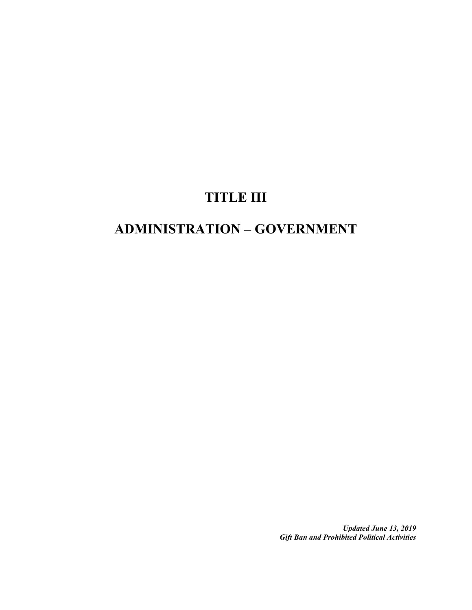## **TITLE III**

# **ADMINISTRATION – GOVERNMENT**

*Updated June 13, 2019 Gift Ban and Prohibited Political Activities*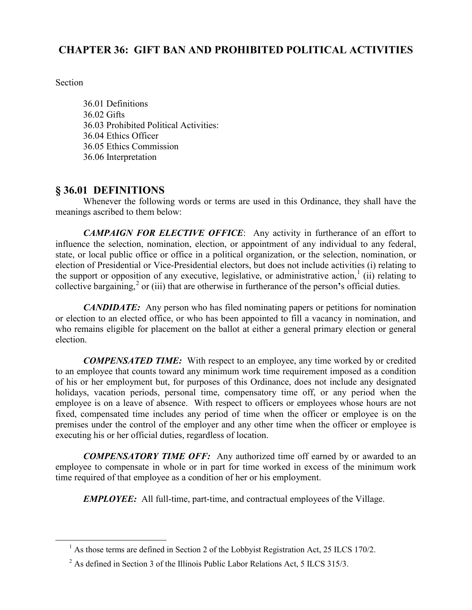## **CHAPTER 36: GIFT BAN AND PROHIBITED POLITICAL ACTIVITIES**

Section

36.01 Definitions 36.02 Gifts 36.03 Prohibited Political Activities: 36.04 Ethics Officer 36.05 Ethics Commission 36.06 Interpretation

## **§ 36.01 DEFINITIONS**

Whenever the following words or terms are used in this Ordinance, they shall have the meanings ascribed to them below:

*CAMPAIGN FOR ELECTIVE OFFICE*: Any activity in furtherance of an effort to influence the selection, nomination, election, or appointment of any individual to any federal, state, or local public office or office in a political organization, or the selection, nomination, or election of Presidential or Vice-Presidential electors, but does not include activities (i) relating to the support or opposition of any executive, legislative, or administrative action,  $(iii)$  relating to collective bargaining,<sup>[2](#page-1-1)</sup> or (iii) that are otherwise in furtherance of the person's official duties.

*CANDIDATE:* Any person who has filed nominating papers or petitions for nomination or election to an elected office, or who has been appointed to fill a vacancy in nomination, and who remains eligible for placement on the ballot at either a general primary election or general election.

*COMPENSATED TIME:* With respect to an employee, any time worked by or credited to an employee that counts toward any minimum work time requirement imposed as a condition of his or her employment but, for purposes of this Ordinance, does not include any designated holidays, vacation periods, personal time, compensatory time off, or any period when the employee is on a leave of absence. With respect to officers or employees whose hours are not fixed, compensated time includes any period of time when the officer or employee is on the premises under the control of the employer and any other time when the officer or employee is executing his or her official duties, regardless of location.

*COMPENSATORY TIME OFF:* Any authorized time off earned by or awarded to an employee to compensate in whole or in part for time worked in excess of the minimum work time required of that employee as a condition of her or his employment.

*EMPLOYEE:* All full-time, part-time, and contractual employees of the Village.

<span id="page-1-0"></span> $<sup>1</sup>$  As those terms are defined in Section 2 of the Lobbyist Registration Act, 25 ILCS 170/2.</sup>

<span id="page-1-1"></span> $2^{2}$  As defined in Section 3 of the Illinois Public Labor Relations Act, 5 ILCS 315/3.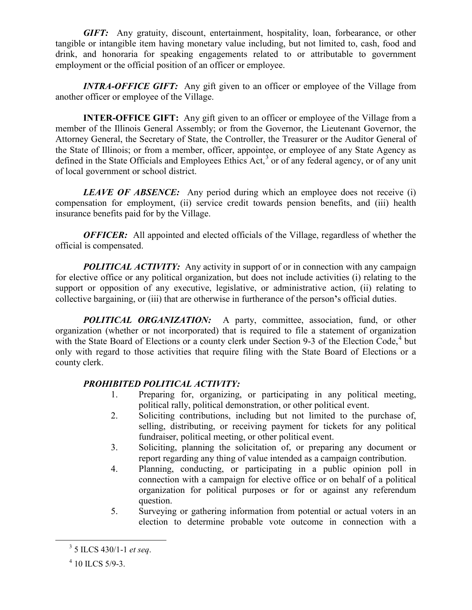*GIFT:* Any gratuity, discount, entertainment, hospitality, loan, forbearance, or other tangible or intangible item having monetary value including, but not limited to, cash, food and drink, and honoraria for speaking engagements related to or attributable to government employment or the official position of an officer or employee.

*INTRA-OFFICE GIFT:* Any gift given to an officer or employee of the Village from another officer or employee of the Village.

**INTER-OFFICE GIFT:** Any gift given to an officer or employee of the Village from a member of the Illinois General Assembly; or from the Governor, the Lieutenant Governor, the Attorney General, the Secretary of State, the Controller, the Treasurer or the Auditor General of the State of Illinois; or from a member, officer, appointee, or employee of any State Agency as defined in the State Officials and Employees Ethics Act,<sup>[3](#page-2-0)</sup> or of any federal agency, or of any unit of local government or school district.

*LEAVE OF ABSENCE*: Any period during which an employee does not receive (i) compensation for employment, (ii) service credit towards pension benefits, and (iii) health insurance benefits paid for by the Village.

*OFFICER:* All appointed and elected officials of the Village, regardless of whether the official is compensated.

**POLITICAL ACTIVITY:** Any activity in support of or in connection with any campaign for elective office or any political organization, but does not include activities (i) relating to the support or opposition of any executive, legislative, or administrative action, (ii) relating to collective bargaining, or (iii) that are otherwise in furtherance of the person**'**s official duties.

*POLITICAL ORGANIZATION:* A party, committee, association, fund, or other organization (whether or not incorporated) that is required to file a statement of organization with the State Board of Elections or a county clerk under Section 9-3 of the Election Code,<sup>[4](#page-2-1)</sup> but only with regard to those activities that require filing with the State Board of Elections or a county clerk.

#### *PROHIBITED POLITICAL ACTIVITY:*

- 1. Preparing for, organizing, or participating in any political meeting, political rally, political demonstration, or other political event.
- 2. Soliciting contributions, including but not limited to the purchase of, selling, distributing, or receiving payment for tickets for any political fundraiser, political meeting, or other political event.
- 3. Soliciting, planning the solicitation of, or preparing any document or report regarding any thing of value intended as a campaign contribution.
- 4. Planning, conducting, or participating in a public opinion poll in connection with a campaign for elective office or on behalf of a political organization for political purposes or for or against any referendum question.
- 5. Surveying or gathering information from potential or actual voters in an election to determine probable vote outcome in connection with a

<span id="page-2-0"></span> <sup>3</sup> 5 ILCS 430/1-1 *et seq*.

<span id="page-2-1"></span> $4$  10 ILCS 5/9-3.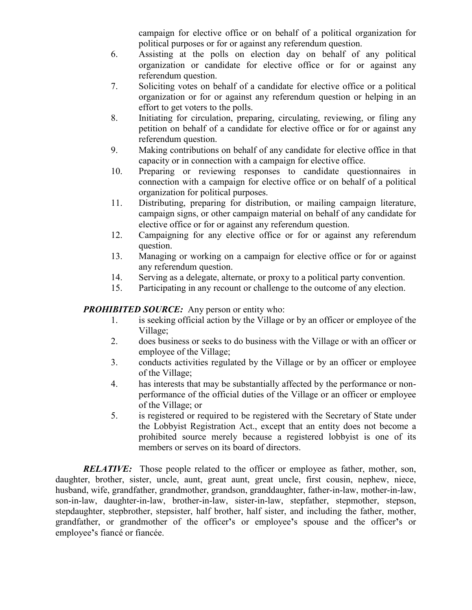campaign for elective office or on behalf of a political organization for political purposes or for or against any referendum question.

- 6. Assisting at the polls on election day on behalf of any political organization or candidate for elective office or for or against any referendum question.
- 7. Soliciting votes on behalf of a candidate for elective office or a political organization or for or against any referendum question or helping in an effort to get voters to the polls.
- 8. Initiating for circulation, preparing, circulating, reviewing, or filing any petition on behalf of a candidate for elective office or for or against any referendum question.
- 9. Making contributions on behalf of any candidate for elective office in that capacity or in connection with a campaign for elective office.
- 10. Preparing or reviewing responses to candidate questionnaires in connection with a campaign for elective office or on behalf of a political organization for political purposes.
- 11. Distributing, preparing for distribution, or mailing campaign literature, campaign signs, or other campaign material on behalf of any candidate for elective office or for or against any referendum question.
- 12. Campaigning for any elective office or for or against any referendum question.
- 13. Managing or working on a campaign for elective office or for or against any referendum question.
- 14. Serving as a delegate, alternate, or proxy to a political party convention.
- 15. Participating in any recount or challenge to the outcome of any election.

#### *PROHIBITED SOURCE:* Any person or entity who:

- 1. is seeking official action by the Village or by an officer or employee of the Village;
- 2. does business or seeks to do business with the Village or with an officer or employee of the Village;
- 3. conducts activities regulated by the Village or by an officer or employee of the Village;
- 4. has interests that may be substantially affected by the performance or nonperformance of the official duties of the Village or an officer or employee of the Village; or
- 5. is registered or required to be registered with the Secretary of State under the Lobbyist Registration Act., except that an entity does not become a prohibited source merely because a registered lobbyist is one of its members or serves on its board of directors.

*RELATIVE:* Those people related to the officer or employee as father, mother, son, daughter, brother, sister, uncle, aunt, great aunt, great uncle, first cousin, nephew, niece, husband, wife, grandfather, grandmother, grandson, granddaughter, father-in-law, mother-in-law, son-in-law, daughter-in-law, brother-in-law, sister-in-law, stepfather, stepmother, stepson, stepdaughter, stepbrother, stepsister, half brother, half sister, and including the father, mother, grandfather, or grandmother of the officer**'**s or employee**'**s spouse and the officer**'**s or employee**'**s fiancé or fiancée.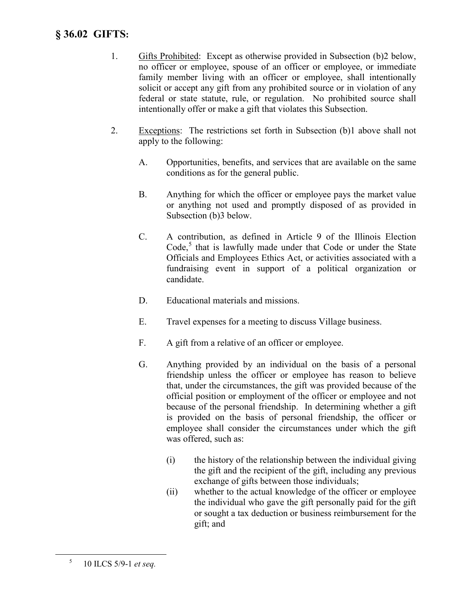## **§ 36.02 GIFTS:**

- 1. Gifts Prohibited: Except as otherwise provided in Subsection (b)2 below, no officer or employee, spouse of an officer or employee, or immediate family member living with an officer or employee, shall intentionally solicit or accept any gift from any prohibited source or in violation of any federal or state statute, rule, or regulation. No prohibited source shall intentionally offer or make a gift that violates this Subsection.
- 2. Exceptions: The restrictions set forth in Subsection (b)1 above shall not apply to the following:
	- A. Opportunities, benefits, and services that are available on the same conditions as for the general public.
	- B. Anything for which the officer or employee pays the market value or anything not used and promptly disposed of as provided in Subsection (b)3 below.
	- C. A contribution, as defined in Article 9 of the Illinois Election  $Code<sub>5</sub>$  $Code<sub>5</sub>$  $Code<sub>5</sub>$ <sup>5</sup> that is lawfully made under that Code or under the State Officials and Employees Ethics Act, or activities associated with a fundraising event in support of a political organization or candidate.
	- D. Educational materials and missions.
	- E. Travel expenses for a meeting to discuss Village business.
	- F. A gift from a relative of an officer or employee.
	- G. Anything provided by an individual on the basis of a personal friendship unless the officer or employee has reason to believe that, under the circumstances, the gift was provided because of the official position or employment of the officer or employee and not because of the personal friendship. In determining whether a gift is provided on the basis of personal friendship, the officer or employee shall consider the circumstances under which the gift was offered, such as:
		- (i) the history of the relationship between the individual giving the gift and the recipient of the gift, including any previous exchange of gifts between those individuals;
		- (ii) whether to the actual knowledge of the officer or employee the individual who gave the gift personally paid for the gift or sought a tax deduction or business reimbursement for the gift; and

<span id="page-4-0"></span> <sup>5</sup> 10 ILCS 5/9-1 *et seq.*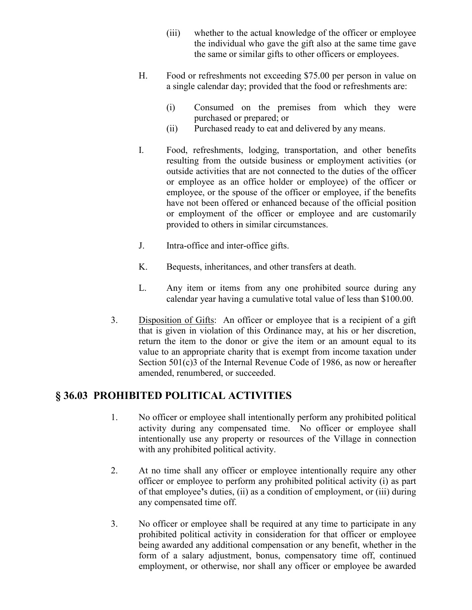- (iii) whether to the actual knowledge of the officer or employee the individual who gave the gift also at the same time gave the same or similar gifts to other officers or employees.
- H. Food or refreshments not exceeding \$75.00 per person in value on a single calendar day; provided that the food or refreshments are:
	- (i) Consumed on the premises from which they were purchased or prepared; or
	- (ii) Purchased ready to eat and delivered by any means.
- I. Food, refreshments, lodging, transportation, and other benefits resulting from the outside business or employment activities (or outside activities that are not connected to the duties of the officer or employee as an office holder or employee) of the officer or employee, or the spouse of the officer or employee, if the benefits have not been offered or enhanced because of the official position or employment of the officer or employee and are customarily provided to others in similar circumstances.
- J. Intra-office and inter-office gifts.
- K. Bequests, inheritances, and other transfers at death.
- L. Any item or items from any one prohibited source during any calendar year having a cumulative total value of less than \$100.00.
- 3. Disposition of Gifts: An officer or employee that is a recipient of a gift that is given in violation of this Ordinance may, at his or her discretion, return the item to the donor or give the item or an amount equal to its value to an appropriate charity that is exempt from income taxation under Section 501(c)3 of the Internal Revenue Code of 1986, as now or hereafter amended, renumbered, or succeeded.

## **§ 36.03 PROHIBITED POLITICAL ACTIVITIES**

- 1. No officer or employee shall intentionally perform any prohibited political activity during any compensated time. No officer or employee shall intentionally use any property or resources of the Village in connection with any prohibited political activity.
- 2. At no time shall any officer or employee intentionally require any other officer or employee to perform any prohibited political activity (i) as part of that employee**'**s duties, (ii) as a condition of employment, or (iii) during any compensated time off.
- 3. No officer or employee shall be required at any time to participate in any prohibited political activity in consideration for that officer or employee being awarded any additional compensation or any benefit, whether in the form of a salary adjustment, bonus, compensatory time off, continued employment, or otherwise, nor shall any officer or employee be awarded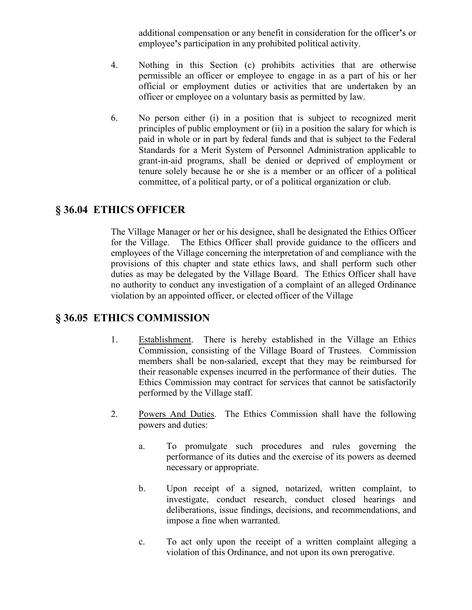additional compensation or any benefit in consideration for the officer**'**s or employee**'**s participation in any prohibited political activity.

- 4. Nothing in this Section (c) prohibits activities that are otherwise permissible an officer or employee to engage in as a part of his or her official or employment duties or activities that are undertaken by an officer or employee on a voluntary basis as permitted by law.
- 6. No person either (i) in a position that is subject to recognized merit principles of public employment or (ii) in a position the salary for which is paid in whole or in part by federal funds and that is subject to the Federal Standards for a Merit System of Personnel Administration applicable to grant-in-aid programs, shall be denied or deprived of employment or tenure solely because he or she is a member or an officer of a political committee, of a political party, or of a political organization or club.

## **§ 36.04 ETHICS OFFICER**

The Village Manager or her or his designee, shall be designated the Ethics Officer for the Village. The Ethics Officer shall provide guidance to the officers and employees of the Village concerning the interpretation of and compliance with the provisions of this chapter and state ethics laws, and shall perform such other duties as may be delegated by the Village Board. The Ethics Officer shall have no authority to conduct any investigation of a complaint of an alleged Ordinance violation by an appointed officer, or elected officer of the Village

## **§ 36.05 ETHICS COMMISSION**

- 1. Establishment. There is hereby established in the Village an Ethics Commission, consisting of the Village Board of Trustees. Commission members shall be non-salaried, except that they may be reimbursed for their reasonable expenses incurred in the performance of their duties. The Ethics Commission may contract for services that cannot be satisfactorily performed by the Village staff.
- 2. Powers And Duties. The Ethics Commission shall have the following powers and duties:
	- a. To promulgate such procedures and rules governing the performance of its duties and the exercise of its powers as deemed necessary or appropriate.
	- b. Upon receipt of a signed, notarized, written complaint, to investigate, conduct research, conduct closed hearings and deliberations, issue findings, decisions, and recommendations, and impose a fine when warranted.
	- c. To act only upon the receipt of a written complaint alleging a violation of this Ordinance, and not upon its own prerogative.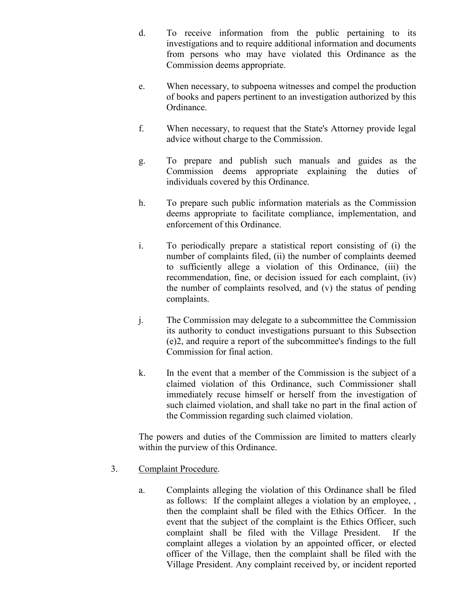- d. To receive information from the public pertaining to its investigations and to require additional information and documents from persons who may have violated this Ordinance as the Commission deems appropriate.
- e. When necessary, to subpoena witnesses and compel the production of books and papers pertinent to an investigation authorized by this Ordinance.
- f. When necessary, to request that the State's Attorney provide legal advice without charge to the Commission.
- g. To prepare and publish such manuals and guides as the Commission deems appropriate explaining the duties of individuals covered by this Ordinance.
- h. To prepare such public information materials as the Commission deems appropriate to facilitate compliance, implementation, and enforcement of this Ordinance.
- i. To periodically prepare a statistical report consisting of (i) the number of complaints filed, (ii) the number of complaints deemed to sufficiently allege a violation of this Ordinance, (iii) the recommendation, fine, or decision issued for each complaint, (iv) the number of complaints resolved, and (v) the status of pending complaints.
- j. The Commission may delegate to a subcommittee the Commission its authority to conduct investigations pursuant to this Subsection (e)2, and require a report of the subcommittee's findings to the full Commission for final action.
- k. In the event that a member of the Commission is the subject of a claimed violation of this Ordinance, such Commissioner shall immediately recuse himself or herself from the investigation of such claimed violation, and shall take no part in the final action of the Commission regarding such claimed violation.

The powers and duties of the Commission are limited to matters clearly within the purview of this Ordinance.

- 3. Complaint Procedure.
	- a. Complaints alleging the violation of this Ordinance shall be filed as follows: If the complaint alleges a violation by an employee, , then the complaint shall be filed with the Ethics Officer. In the event that the subject of the complaint is the Ethics Officer, such complaint shall be filed with the Village President. If the complaint alleges a violation by an appointed officer, or elected officer of the Village, then the complaint shall be filed with the Village President. Any complaint received by, or incident reported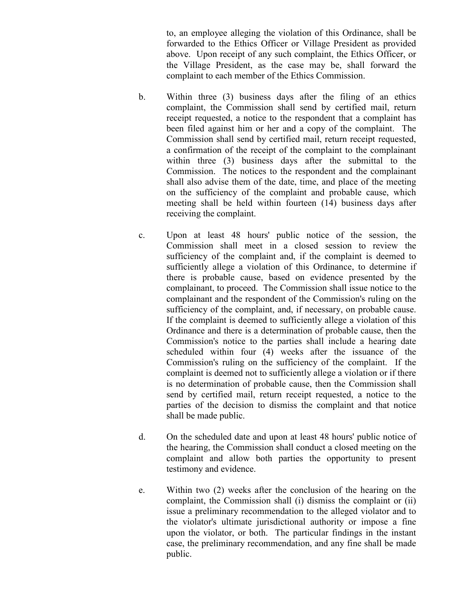to, an employee alleging the violation of this Ordinance, shall be forwarded to the Ethics Officer or Village President as provided above. Upon receipt of any such complaint, the Ethics Officer, or the Village President, as the case may be, shall forward the complaint to each member of the Ethics Commission.

- b. Within three (3) business days after the filing of an ethics complaint, the Commission shall send by certified mail, return receipt requested, a notice to the respondent that a complaint has been filed against him or her and a copy of the complaint. The Commission shall send by certified mail, return receipt requested, a confirmation of the receipt of the complaint to the complainant within three (3) business days after the submittal to the Commission. The notices to the respondent and the complainant shall also advise them of the date, time, and place of the meeting on the sufficiency of the complaint and probable cause, which meeting shall be held within fourteen (14) business days after receiving the complaint.
- c. Upon at least 48 hours' public notice of the session, the Commission shall meet in a closed session to review the sufficiency of the complaint and, if the complaint is deemed to sufficiently allege a violation of this Ordinance, to determine if there is probable cause, based on evidence presented by the complainant, to proceed. The Commission shall issue notice to the complainant and the respondent of the Commission's ruling on the sufficiency of the complaint, and, if necessary, on probable cause. If the complaint is deemed to sufficiently allege a violation of this Ordinance and there is a determination of probable cause, then the Commission's notice to the parties shall include a hearing date scheduled within four (4) weeks after the issuance of the Commission's ruling on the sufficiency of the complaint. If the complaint is deemed not to sufficiently allege a violation or if there is no determination of probable cause, then the Commission shall send by certified mail, return receipt requested, a notice to the parties of the decision to dismiss the complaint and that notice shall be made public.
- d. On the scheduled date and upon at least 48 hours' public notice of the hearing, the Commission shall conduct a closed meeting on the complaint and allow both parties the opportunity to present testimony and evidence.
- e. Within two (2) weeks after the conclusion of the hearing on the complaint, the Commission shall (i) dismiss the complaint or (ii) issue a preliminary recommendation to the alleged violator and to the violator's ultimate jurisdictional authority or impose a fine upon the violator, or both. The particular findings in the instant case, the preliminary recommendation, and any fine shall be made public.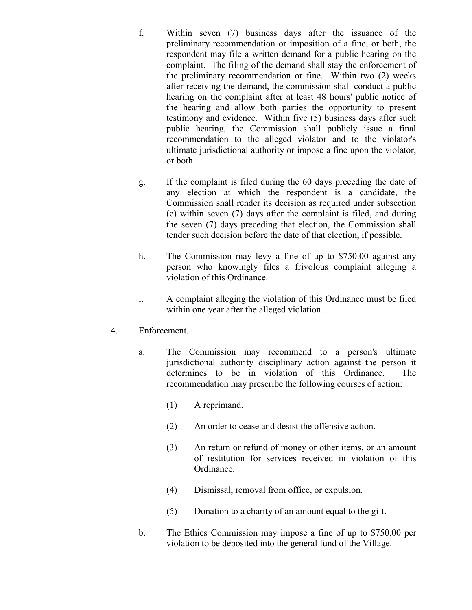- f. Within seven (7) business days after the issuance of the preliminary recommendation or imposition of a fine, or both, the respondent may file a written demand for a public hearing on the complaint. The filing of the demand shall stay the enforcement of the preliminary recommendation or fine. Within two (2) weeks after receiving the demand, the commission shall conduct a public hearing on the complaint after at least 48 hours' public notice of the hearing and allow both parties the opportunity to present testimony and evidence. Within five (5) business days after such public hearing, the Commission shall publicly issue a final recommendation to the alleged violator and to the violator's ultimate jurisdictional authority or impose a fine upon the violator, or both.
- g. If the complaint is filed during the 60 days preceding the date of any election at which the respondent is a candidate, the Commission shall render its decision as required under subsection (e) within seven (7) days after the complaint is filed, and during the seven (7) days preceding that election, the Commission shall tender such decision before the date of that election, if possible.
- h. The Commission may levy a fine of up to \$750.00 against any person who knowingly files a frivolous complaint alleging a violation of this Ordinance.
- i. A complaint alleging the violation of this Ordinance must be filed within one year after the alleged violation.

#### 4. Enforcement.

- a. The Commission may recommend to a person's ultimate jurisdictional authority disciplinary action against the person it determines to be in violation of this Ordinance. The recommendation may prescribe the following courses of action:
	- (1) A reprimand.
	- (2) An order to cease and desist the offensive action.
	- (3) An return or refund of money or other items, or an amount of restitution for services received in violation of this Ordinance.
	- (4) Dismissal, removal from office, or expulsion.
	- (5) Donation to a charity of an amount equal to the gift.
- b. The Ethics Commission may impose a fine of up to \$750.00 per violation to be deposited into the general fund of the Village.